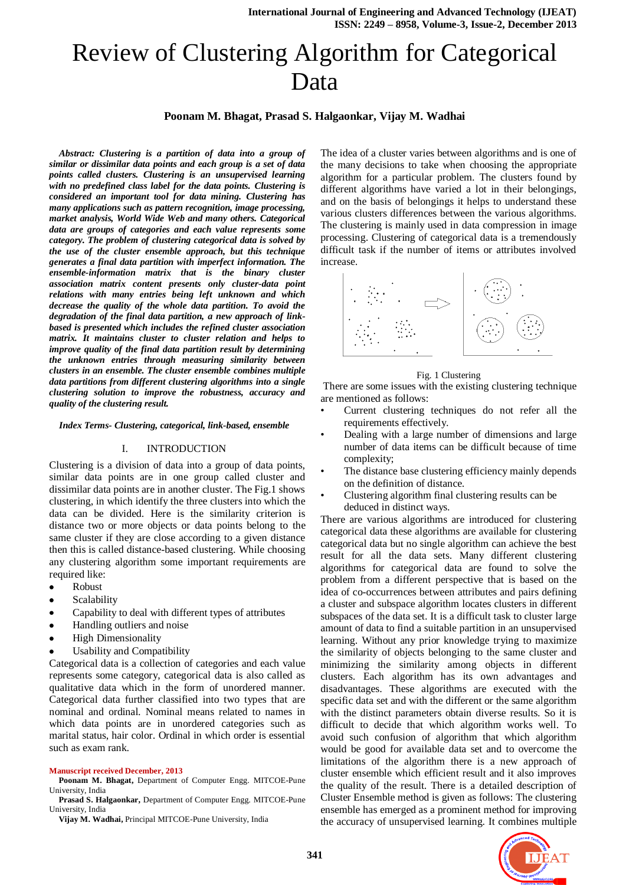# Review of Clustering Algorithm for Categorical Data

### **Poonam M. Bhagat, Prasad S. Halgaonkar, Vijay M. Wadhai**

*Abstract: Clustering is a partition of data into a group of similar or dissimilar data points and each group is a set of data points called clusters. Clustering is an unsupervised learning with no predefined class label for the data points. Clustering is considered an important tool for data mining. Clustering has many applications such as pattern recognition, image processing, market analysis, World Wide Web and many others. Categorical data are groups of categories and each value represents some category. The problem of clustering categorical data is solved by the use of the cluster ensemble approach, but this technique generates a final data partition with imperfect information. The ensemble-information matrix that is the binary cluster association matrix content presents only cluster-data point relations with many entries being left unknown and which decrease the quality of the whole data partition. To avoid the degradation of the final data partition, a new approach of linkbased is presented which includes the refined cluster association matrix. It maintains cluster to cluster relation and helps to improve quality of the final data partition result by determining the unknown entries through measuring similarity between clusters in an ensemble. The cluster ensemble combines multiple data partitions from different clustering algorithms into a single clustering solution to improve the robustness, accuracy and quality of the clustering result.*

*Index Terms- Clustering, categorical, link-based, ensemble*

#### I. INTRODUCTION

Clustering is a division of data into a group of data points, similar data points are in one group called cluster and dissimilar data points are in another cluster. The Fig.1 shows clustering, in which identify the three clusters into which the data can be divided. Here is the similarity criterion is distance two or more objects or data points belong to the same cluster if they are close according to a given distance then this is called distance-based clustering. While choosing any clustering algorithm some important requirements are required like:

- $\bullet$ Robust
- Scalability
- $\bullet$ Capability to deal with different types of attributes
- Handling outliers and noise
- High Dimensionality
- Usability and Compatibility

Categorical data is a collection of categories and each value represents some category, categorical data is also called as qualitative data which in the form of unordered manner. Categorical data further classified into two types that are nominal and ordinal. Nominal means related to names in which data points are in unordered categories such as marital status, hair color. Ordinal in which order is essential such as exam rank.

#### **Manuscript received December, 2013**

- **Poonam M. Bhagat,** Department of Computer Engg. MITCOE-Pune University, India
- **Prasad S. Halgaonkar,** Department of Computer Engg. MITCOE-Pune University, India

**Vijay M. Wadhai,** Principal MITCOE-Pune University, India

The idea of a cluster varies between algorithms and is one of the many decisions to take when choosing the appropriate algorithm for a particular problem. The clusters found by different algorithms have varied a lot in their belongings, and on the basis of belongings it helps to understand these various clusters differences between the various algorithms. The clustering is mainly used in data compression in image processing. Clustering of categorical data is a tremendously difficult task if the number of items or attributes involved increase.



Fig. 1 Clustering

There are some issues with the existing clustering technique are mentioned as follows:

- Current clustering techniques do not refer all the requirements effectively.
- Dealing with a large number of dimensions and large number of data items can be difficult because of time complexity;
- The distance base clustering efficiency mainly depends on the definition of distance.
- Clustering algorithm final clustering results can be deduced in distinct ways.

There are various algorithms are introduced for clustering categorical data these algorithms are available for clustering categorical data but no single algorithm can achieve the best result for all the data sets. Many different clustering algorithms for categorical data are found to solve the problem from a different perspective that is based on the idea of co-occurrences between attributes and pairs defining a cluster and subspace algorithm locates clusters in different subspaces of the data set. It is a difficult task to cluster large amount of data to find a suitable partition in an unsupervised learning. Without any prior knowledge trying to maximize the similarity of objects belonging to the same cluster and minimizing the similarity among objects in different clusters. Each algorithm has its own advantages and disadvantages. These algorithms are executed with the specific data set and with the different or the same algorithm with the distinct parameters obtain diverse results. So it is difficult to decide that which algorithm works well. To avoid such confusion of algorithm that which algorithm would be good for available data set and to overcome the limitations of the algorithm there is a new approach of cluster ensemble which efficient result and it also improves the quality of the result. There is a detailed description of Cluster Ensemble method is given as follows: The clustering ensemble has emerged as a prominent method for improving the accuracy of unsupervised learning. It combines multiple

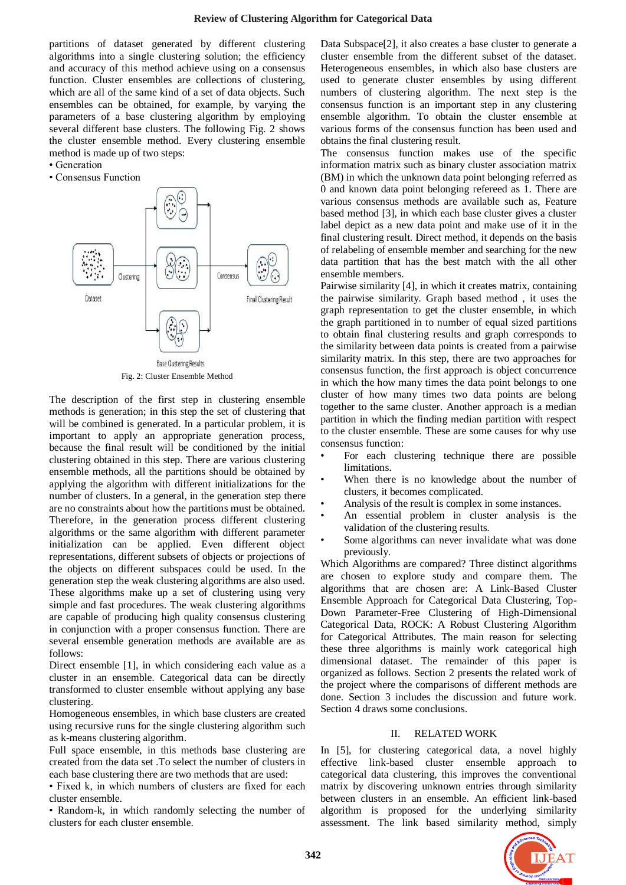partitions of dataset generated by different clustering algorithms into a single clustering solution; the efficiency and accuracy of this method achieve using on a consensus function. Cluster ensembles are collections of clustering, which are all of the same kind of a set of data objects. Such ensembles can be obtained, for example, by varying the parameters of a base clustering algorithm by employing several different base clusters. The following Fig. 2 shows the cluster ensemble method. Every clustering ensemble method is made up of two steps:

- Generation
- Consensus Function



Fig. 2: Cluster Ensemble Method

The description of the first step in clustering ensemble methods is generation; in this step the set of clustering that will be combined is generated. In a particular problem, it is important to apply an appropriate generation process, because the final result will be conditioned by the initial clustering obtained in this step. There are various clustering ensemble methods, all the partitions should be obtained by applying the algorithm with different initializations for the number of clusters. In a general, in the generation step there are no constraints about how the partitions must be obtained. Therefore, in the generation process different clustering algorithms or the same algorithm with different parameter initialization can be applied. Even different object representations, different subsets of objects or projections of the objects on different subspaces could be used. In the generation step the weak clustering algorithms are also used. These algorithms make up a set of clustering using very simple and fast procedures. The weak clustering algorithms are capable of producing high quality consensus clustering in conjunction with a proper consensus function. There are several ensemble generation methods are available are as follows:

Direct ensemble [1], in which considering each value as a cluster in an ensemble. Categorical data can be directly transformed to cluster ensemble without applying any base clustering.

Homogeneous ensembles, in which base clusters are created using recursive runs for the single clustering algorithm such as k-means clustering algorithm.

Full space ensemble, in this methods base clustering are created from the data set .To select the number of clusters in each base clustering there are two methods that are used:

• Fixed k, in which numbers of clusters are fixed for each cluster ensemble.

• Random-k, in which randomly selecting the number of clusters for each cluster ensemble.

Data Subspace[2], it also creates a base cluster to generate a cluster ensemble from the different subset of the dataset. Heterogeneous ensembles, in which also base clusters are used to generate cluster ensembles by using different numbers of clustering algorithm. The next step is the consensus function is an important step in any clustering ensemble algorithm. To obtain the cluster ensemble at various forms of the consensus function has been used and obtains the final clustering result.

The consensus function makes use of the specific information matrix such as binary cluster association matrix (BM) in which the unknown data point belonging referred as 0 and known data point belonging refereed as 1. There are various consensus methods are available such as, Feature based method [3], in which each base cluster gives a cluster label depict as a new data point and make use of it in the final clustering result. Direct method, it depends on the basis of relabeling of ensemble member and searching for the new data partition that has the best match with the all other ensemble members.

Pairwise similarity [4], in which it creates matrix, containing the pairwise similarity. Graph based method , it uses the graph representation to get the cluster ensemble, in which the graph partitioned in to number of equal sized partitions to obtain final clustering results and graph corresponds to the similarity between data points is created from a pairwise similarity matrix. In this step, there are two approaches for consensus function, the first approach is object concurrence in which the how many times the data point belongs to one cluster of how many times two data points are belong together to the same cluster. Another approach is a median partition in which the finding median partition with respect to the cluster ensemble. These are some causes for why use consensus function:

- For each clustering technique there are possible limitations.
- When there is no knowledge about the number of clusters, it becomes complicated.
- Analysis of the result is complex in some instances.
- An essential problem in cluster analysis is the validation of the clustering results.
- Some algorithms can never invalidate what was done previously.

Which Algorithms are compared? Three distinct algorithms are chosen to explore study and compare them. The algorithms that are chosen are: A Link-Based Cluster Ensemble Approach for Categorical Data Clustering, Top-Down Parameter-Free Clustering of High-Dimensional Categorical Data, ROCK: A Robust Clustering Algorithm for Categorical Attributes. The main reason for selecting these three algorithms is mainly work categorical high dimensional dataset. The remainder of this paper is organized as follows. Section 2 presents the related work of the project where the comparisons of different methods are done. Section 3 includes the discussion and future work. Section 4 draws some conclusions.

#### II. RELATED WORK

In [5], for clustering categorical data, a novel highly effective link-based cluster ensemble approach to categorical data clustering, this improves the conventional matrix by discovering unknown entries through similarity between clusters in an ensemble. An efficient link-based algorithm is proposed for the underlying similarity assessment. The link based similarity method, simply

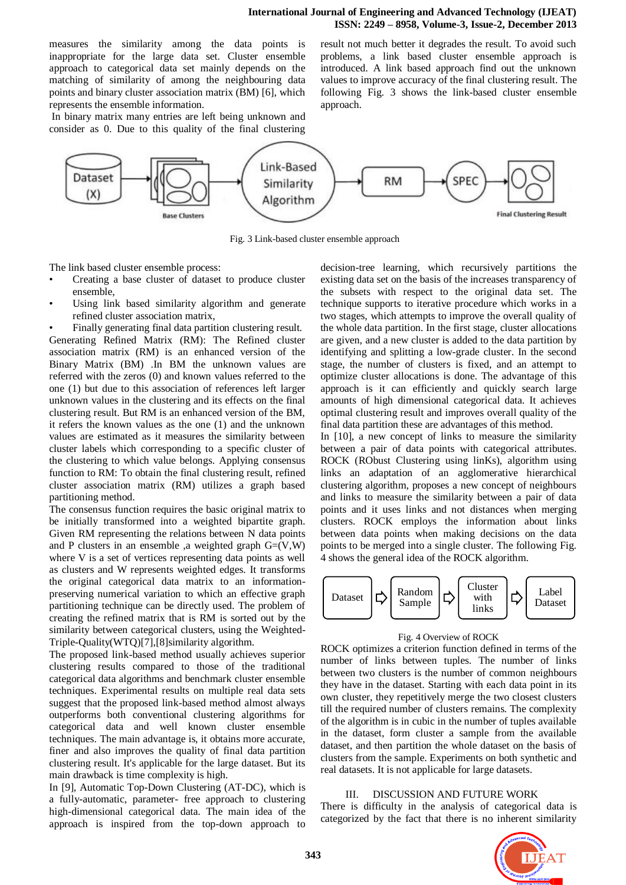measures the similarity among the data points is inappropriate for the large data set. Cluster ensemble approach to categorical data set mainly depends on the matching of similarity of among the neighbouring data points and binary cluster association matrix (BM) [6], which represents the ensemble information.

In binary matrix many entries are left being unknown and consider as 0. Due to this quality of the final clustering result not much better it degrades the result. To avoid such problems, a link based cluster ensemble approach is introduced. A link based approach find out the unknown values to improve accuracy of the final clustering result. The following Fig. 3 shows the link-based cluster ensemble approach.



Fig. 3 Link-based cluster ensemble approach

The link based cluster ensemble process:

- Creating a base cluster of dataset to produce cluster ensemble,
- Using link based similarity algorithm and generate refined cluster association matrix,
- Finally generating final data partition clustering result.

Generating Refined Matrix (RM): The Refined cluster association matrix (RM) is an enhanced version of the Binary Matrix (BM) .In BM the unknown values are referred with the zeros (0) and known values referred to the one (1) but due to this association of references left larger unknown values in the clustering and its effects on the final clustering result. But RM is an enhanced version of the BM, it refers the known values as the one (1) and the unknown values are estimated as it measures the similarity between cluster labels which corresponding to a specific cluster of the clustering to which value belongs. Applying consensus function to RM: To obtain the final clustering result, refined cluster association matrix (RM) utilizes a graph based partitioning method.

The consensus function requires the basic original matrix to be initially transformed into a weighted bipartite graph. Given RM representing the relations between N data points and P clusters in an ensemble ,a weighted graph  $G=(V,W)$ where V is a set of vertices representing data points as well as clusters and W represents weighted edges. It transforms the original categorical data matrix to an informationpreserving numerical variation to which an effective graph partitioning technique can be directly used. The problem of creating the refined matrix that is RM is sorted out by the similarity between categorical clusters, using the Weighted-Triple-Quality(WTQ)[7],[8]similarity algorithm.

The proposed link-based method usually achieves superior clustering results compared to those of the traditional categorical data algorithms and benchmark cluster ensemble techniques. Experimental results on multiple real data sets suggest that the proposed link-based method almost always outperforms both conventional clustering algorithms for categorical data and well known cluster ensemble techniques. The main advantage is, it obtains more accurate, finer and also improves the quality of final data partition clustering result. It's applicable for the large dataset. But its main drawback is time complexity is high.

In [9], Automatic Top-Down Clustering (AT-DC), which is a fully-automatic, parameter- free approach to clustering high-dimensional categorical data. The main idea of the approach is inspired from the top-down approach to

decision-tree learning, which recursively partitions the existing data set on the basis of the increases transparency of the subsets with respect to the original data set. The technique supports to iterative procedure which works in a two stages, which attempts to improve the overall quality of the whole data partition. In the first stage, cluster allocations are given, and a new cluster is added to the data partition by identifying and splitting a low-grade cluster. In the second stage, the number of clusters is fixed, and an attempt to optimize cluster allocations is done. The advantage of this approach is it can efficiently and quickly search large amounts of high dimensional categorical data. It achieves optimal clustering result and improves overall quality of the final data partition these are advantages of this method.

In [10], a new concept of links to measure the similarity between a pair of data points with categorical attributes. ROCK (RObust Clustering using linKs), algorithm using links an adaptation of an agglomerative hierarchical clustering algorithm, proposes a new concept of neighbours and links to measure the similarity between a pair of data points and it uses links and not distances when merging clusters. ROCK employs the information about links between data points when making decisions on the data points to be merged into a single cluster. The following Fig. 4 shows the general idea of the ROCK algorithm.



#### Fig. 4 Overview of ROCK

ROCK optimizes a criterion function defined in terms of the number of links between tuples. The number of links between two clusters is the number of common neighbours they have in the dataset. Starting with each data point in its own cluster, they repetitively merge the two closest clusters till the required number of clusters remains. The complexity of the algorithm is in cubic in the number of tuples available in the dataset, form cluster a sample from the available dataset, and then partition the whole dataset on the basis of clusters from the sample. Experiments on both synthetic and real datasets. It is not applicable for large datasets.

## III. DISCUSSION AND FUTURE WORK

There is difficulty in the analysis of categorical data is categorized by the fact that there is no inherent similarity

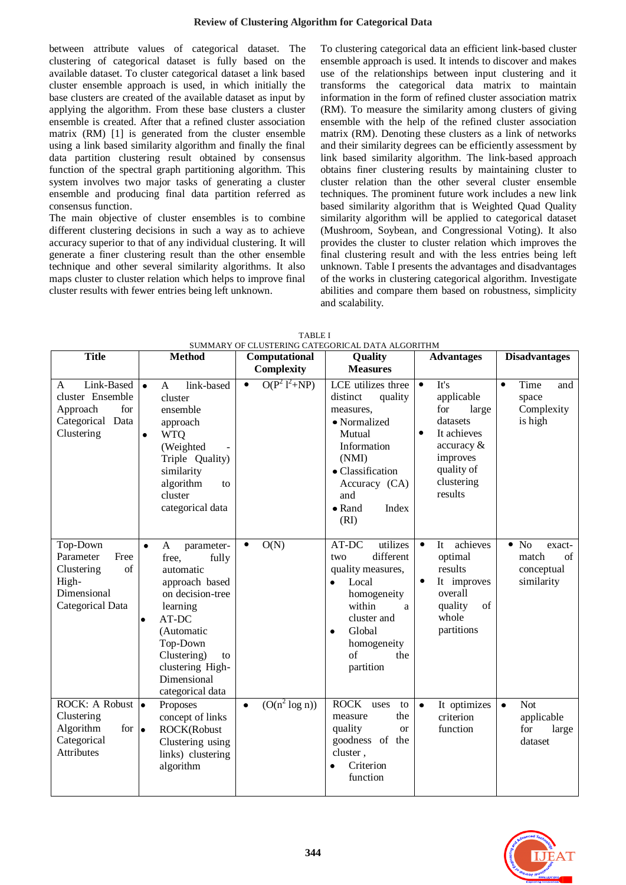between attribute values of categorical dataset. The clustering of categorical dataset is fully based on the available dataset. To cluster categorical dataset a link based cluster ensemble approach is used, in which initially the base clusters are created of the available dataset as input by applying the algorithm. From these base clusters a cluster ensemble is created. After that a refined cluster association matrix (RM) [1] is generated from the cluster ensemble using a link based similarity algorithm and finally the final data partition clustering result obtained by consensus function of the spectral graph partitioning algorithm. This system involves two major tasks of generating a cluster ensemble and producing final data partition referred as consensus function.

The main objective of cluster ensembles is to combine different clustering decisions in such a way as to achieve accuracy superior to that of any individual clustering. It will generate a finer clustering result than the other ensemble technique and other several similarity algorithms. It also maps cluster to cluster relation which helps to improve final cluster results with fewer entries being left unknown.

To clustering categorical data an efficient link-based cluster ensemble approach is used. It intends to discover and makes use of the relationships between input clustering and it transforms the categorical data matrix to maintain information in the form of refined cluster association matrix (RM). To measure the similarity among clusters of giving ensemble with the help of the refined cluster association matrix (RM). Denoting these clusters as a link of networks and their similarity degrees can be efficiently assessment by link based similarity algorithm. The link-based approach obtains finer clustering results by maintaining cluster to cluster relation than the other several cluster ensemble techniques. The prominent future work includes a new link based similarity algorithm that is Weighted Quad Quality similarity algorithm will be applied to categorical dataset (Mushroom, Soybean, and Congressional Voting). It also provides the cluster to cluster relation which improves the final clustering result and with the less entries being left unknown. Table I presents the advantages and disadvantages of the works in clustering categorical algorithm. Investigate abilities and compare them based on robustness, simplicity and scalability.

| SUMMARY OF CLUSTERING CATEGORICAL DATA ALGORITHM                                                 |                                                                                                                                                                                                                                           |                                |                                                                                                                                                                                               |                                                                                                                                                                      |                                                                   |
|--------------------------------------------------------------------------------------------------|-------------------------------------------------------------------------------------------------------------------------------------------------------------------------------------------------------------------------------------------|--------------------------------|-----------------------------------------------------------------------------------------------------------------------------------------------------------------------------------------------|----------------------------------------------------------------------------------------------------------------------------------------------------------------------|-------------------------------------------------------------------|
| <b>Title</b>                                                                                     | <b>Method</b>                                                                                                                                                                                                                             | Computational<br>Complexity    | Quality<br><b>Measures</b>                                                                                                                                                                    | <b>Advantages</b>                                                                                                                                                    | <b>Disadvantages</b>                                              |
| Link-Based<br>A<br>cluster Ensemble<br>Approach<br>for<br>Categorical Data<br>Clustering         | link-based<br>$\bullet$<br>$\mathsf{A}$<br>cluster<br>ensemble<br>approach<br><b>WTQ</b><br>$\bullet$<br>(Weighted<br>Triple Quality)<br>similarity<br>algorithm<br>to<br>cluster<br>categorical data                                     | $O(P^2 l^2 + NP)$              | LCE utilizes three<br>distinct<br>quality<br>measures.<br>• Normalized<br>Mutual<br>Information<br>(NMI)<br>• Classification<br>Accuracy (CA)<br>and<br>$\bullet$ Rand<br>Index<br>(RI)       | It's<br>$\bullet$<br>applicable<br>for<br>large<br>datasets<br>It achieves<br>$\bullet$<br>$\alpha$ accuracy $\&$<br>improves<br>quality of<br>clustering<br>results | Time<br>$\bullet$<br>and<br>space<br>Complexity<br>is high        |
| Top-Down<br>Parameter<br>Free<br>of<br>Clustering<br>High-<br>Dimensional<br>Categorical Data    | $\bullet$<br>parameter-<br>A<br>free,<br>fully<br>automatic<br>approach based<br>on decision-tree<br>learning<br>AT-DC<br>$\bullet$<br>(Automatic<br>Top-Down<br>Clustering)<br>to<br>clustering High-<br>Dimensional<br>categorical data | O(N)<br>$\bullet$              | AT-DC<br>utilizes<br>different<br>two<br>quality measures,<br>Local<br>$\bullet$<br>homogeneity<br>within<br>a<br>cluster and<br>Global<br>$\bullet$<br>homogeneity<br>of<br>the<br>partition | achieves<br>It<br>$\bullet$<br>optimal<br>results<br>$\bullet$<br>It improves<br>overall<br>quality<br>of<br>whole<br>partitions                                     | $\bullet$ No<br>exact-<br>match<br>of<br>conceptual<br>similarity |
| ROCK: A Robust .<br>Clustering<br>Algorithm<br>for $\bullet$<br>Categorical<br><b>Attributes</b> | Proposes<br>concept of links<br><b>ROCK</b> (Robust<br>Clustering using<br>links) clustering<br>algorithm                                                                                                                                 | $(O(n^2 \log n))$<br>$\bullet$ | <b>ROCK</b><br>uses<br>to<br>the<br>measure<br>quality<br><b>or</b><br>goodness of the<br>cluster,<br>Criterion<br>function                                                                   | It optimizes<br>$\bullet$<br>criterion<br>function                                                                                                                   | <b>Not</b><br>$\bullet$<br>applicable<br>for<br>large<br>dataset  |

TABLE I